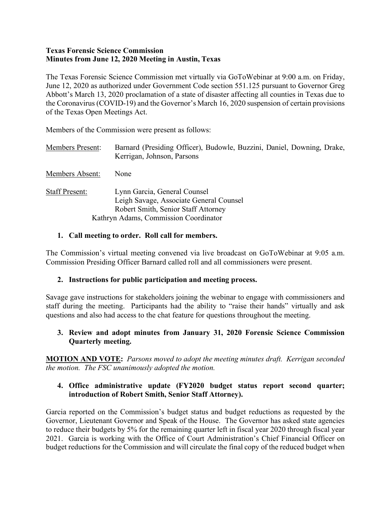#### **Texas Forensic Science Commission Minutes from June 12, 2020 Meeting in Austin, Texas**

The Texas Forensic Science Commission met virtually via GoToWebinar at 9:00 a.m. on Friday, June 12, 2020 as authorized under Government Code section 551.125 pursuant to Governor Greg Abbott's March 13, 2020 proclamation of a state of disaster affecting all counties in Texas due to the Coronavirus (COVID-19) and the Governor's March 16, 2020 suspension of certain provisions of the Texas Open Meetings Act.

Members of the Commission were present as follows:

| <b>Members Present:</b> | Barnard (Presiding Officer), Budowle, Buzzini, Daniel, Downing, Drake,<br>Kerrigan, Johnson, Parsons                                                    |
|-------------------------|---------------------------------------------------------------------------------------------------------------------------------------------------------|
| Members Absent:         | None                                                                                                                                                    |
| <b>Staff Present:</b>   | Lynn Garcia, General Counsel<br>Leigh Savage, Associate General Counsel<br>Robert Smith, Senior Staff Attorney<br>Kathryn Adams, Commission Coordinator |

### **1. Call meeting to order. Roll call for members.**

The Commission's virtual meeting convened via live broadcast on GoToWebinar at 9:05 a.m. Commission Presiding Officer Barnard called roll and all commissioners were present.

### **2. Instructions for public participation and meeting process.**

Savage gave instructions for stakeholders joining the webinar to engage with commissioners and staff during the meeting. Participants had the ability to "raise their hands" virtually and ask questions and also had access to the chat feature for questions throughout the meeting.

## **3. Review and adopt minutes from January 31, 2020 Forensic Science Commission Quarterly meeting.**

**MOTION AND VOTE:** *Parsons moved to adopt the meeting minutes draft. Kerrigan seconded the motion. The FSC unanimously adopted the motion.*

### **4. Office administrative update (FY2020 budget status report second quarter; introduction of Robert Smith, Senior Staff Attorney).**

Garcia reported on the Commission's budget status and budget reductions as requested by the Governor, Lieutenant Governor and Speak of the House. The Governor has asked state agencies to reduce their budgets by 5% for the remaining quarter left in fiscal year 2020 through fiscal year 2021. Garcia is working with the Office of Court Administration's Chief Financial Officer on budget reductions for the Commission and will circulate the final copy of the reduced budget when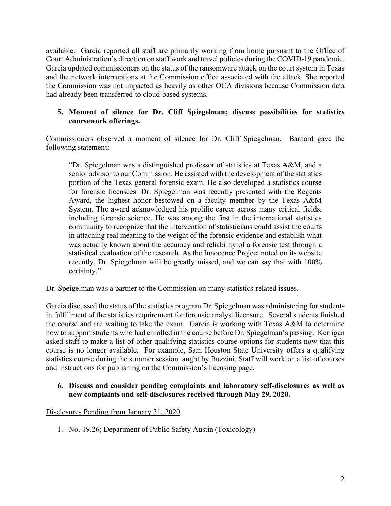available. Garcia reported all staff are primarily working from home pursuant to the Office of Court Administration's direction on staff work and travel policies during the COVID-19 pandemic. Garcia updated commissioners on the status of the ransomware attack on the court system in Texas and the network interruptions at the Commission office associated with the attack. She reported the Commission was not impacted as heavily as other OCA divisions because Commission data had already been transferred to cloud-based systems.

## **5. Moment of silence for Dr. Cliff Spiegelman; discuss possibilities for statistics coursework offerings.**

Commissioners observed a moment of silence for Dr. Cliff Spiegelman. Barnard gave the following statement:

"Dr. Spiegelman was a distinguished professor of statistics at Texas A&M, and a senior advisor to our Commission. He assisted with the development of the statistics portion of the Texas general forensic exam. He also developed a statistics course for forensic licensees. Dr. Spiegelman was recently presented with the Regents Award, the highest honor bestowed on a faculty member by the Texas A&M System. The award acknowledged his prolific career across many critical fields, including forensic science. He was among the first in the international statistics community to recognize that the intervention of statisticians could assist the courts in attaching real meaning to the weight of the forensic evidence and establish what was actually known about the accuracy and reliability of a forensic test through a statistical evaluation of the research. As the Innocence Project noted on its website recently, Dr. Spiegelman will be greatly missed, and we can say that with 100% certainty."

Dr. Speigelman was a partner to the Commission on many statistics-related issues.

Garcia discussed the status of the statistics program Dr. Spiegelman was administering for students in fulfillment of the statistics requirement for forensic analyst licensure. Several students finished the course and are waiting to take the exam. Garcia is working with Texas A&M to determine how to support students who had enrolled in the course before Dr. Spiegelman's passing. Kerrigan asked staff to make a list of other qualifying statistics course options for students now that this course is no longer available. For example, Sam Houston State University offers a qualifying statistics course during the summer session taught by Buzzini. Staff will work on a list of courses and instructions for publishing on the Commission's licensing page.

#### **6. Discuss and consider pending complaints and laboratory self-disclosures as well as new complaints and self-disclosures received through May 29, 2020.**

### Disclosures Pending from January 31, 2020

1. No. 19.26; Department of Public Safety Austin (Toxicology)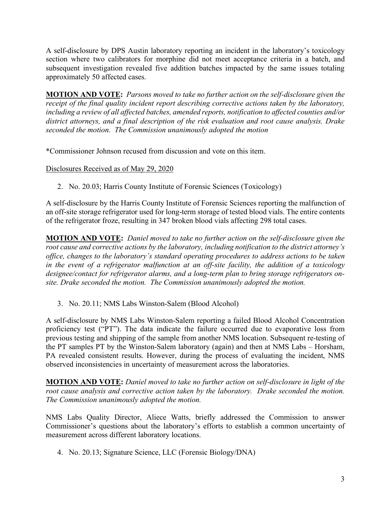A self-disclosure by DPS Austin laboratory reporting an incident in the laboratory's toxicology section where two calibrators for morphine did not meet acceptance criteria in a batch, and subsequent investigation revealed five addition batches impacted by the same issues totaling approximately 50 affected cases.

**MOTION AND VOTE:** *Parsons moved to take no further action on the self-disclosure given the receipt of the final quality incident report describing corrective actions taken by the laboratory, including a review of all affected batches, amended reports, notification to affected counties and/or district attorneys, and a final description of the risk evaluation and root cause analysis. Drake seconded the motion. The Commission unanimously adopted the motion*

\*Commissioner Johnson recused from discussion and vote on this item.

Disclosures Received as of May 29, 2020

2. No. 20.03; Harris County Institute of Forensic Sciences (Toxicology)

A self-disclosure by the Harris County Institute of Forensic Sciences reporting the malfunction of an off-site storage refrigerator used for long-term storage of tested blood vials. The entire contents of the refrigerator froze, resulting in 347 broken blood vials affecting 298 total cases.

**MOTION AND VOTE:** *Daniel moved to take no further action on the self-disclosure given the root cause and corrective actions by the laboratory, including notification to the district attorney's office, changes to the laboratory's standard operating procedures to address actions to be taken in the event of a refrigerator malfunction at an off-site facility, the addition of a toxicology designee/contact for refrigerator alarms, and a long-term plan to bring storage refrigerators onsite. Drake seconded the motion. The Commission unanimously adopted the motion.*

3. No. 20.11; NMS Labs Winston-Salem (Blood Alcohol)

A self-disclosure by NMS Labs Winston-Salem reporting a failed Blood Alcohol Concentration proficiency test ("PT"). The data indicate the failure occurred due to evaporative loss from previous testing and shipping of the sample from another NMS location. Subsequent re-testing of the PT samples PT by the Winston-Salem laboratory (again) and then at NMS Labs – Horsham, PA revealed consistent results. However, during the process of evaluating the incident, NMS observed inconsistencies in uncertainty of measurement across the laboratories.

**MOTION AND VOTE:** *Daniel moved to take no further action on self-disclosure in light of the root cause analysis and corrective action taken by the laboratory. Drake seconded the motion. The Commission unanimously adopted the motion.*

NMS Labs Quality Director, Aliece Watts, briefly addressed the Commission to answer Commissioner's questions about the laboratory's efforts to establish a common uncertainty of measurement across different laboratory locations.

4. No. 20.13; Signature Science, LLC (Forensic Biology/DNA)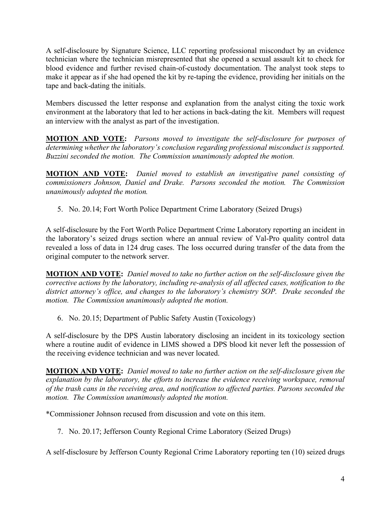A self-disclosure by Signature Science, LLC reporting professional misconduct by an evidence technician where the technician misrepresented that she opened a sexual assault kit to check for blood evidence and further revised chain-of-custody documentation. The analyst took steps to make it appear as if she had opened the kit by re-taping the evidence, providing her initials on the tape and back-dating the initials.

Members discussed the letter response and explanation from the analyst citing the toxic work environment at the laboratory that led to her actions in back-dating the kit. Members will request an interview with the analyst as part of the investigation.

**MOTION AND VOTE:** *Parsons moved to investigate the self-disclosure for purposes of determining whether the laboratory's conclusion regarding professional misconduct is supported. Buzzini seconded the motion. The Commission unanimously adopted the motion.*

**MOTION AND VOTE:** *Daniel moved to establish an investigative panel consisting of commissioners Johnson, Daniel and Drake. Parsons seconded the motion. The Commission unanimously adopted the motion.*

5. No. 20.14; Fort Worth Police Department Crime Laboratory (Seized Drugs)

A self-disclosure by the Fort Worth Police Department Crime Laboratory reporting an incident in the laboratory's seized drugs section where an annual review of Val-Pro quality control data revealed a loss of data in 124 drug cases. The loss occurred during transfer of the data from the original computer to the network server.

**MOTION AND VOTE:** *Daniel moved to take no further action on the self-disclosure given the corrective actions by the laboratory, including re-analysis of all affected cases, notification to the district attorney's office, and changes to the laboratory's chemistry SOP. Drake seconded the motion. The Commission unanimously adopted the motion.*

6. No. 20.15; Department of Public Safety Austin (Toxicology)

A self-disclosure by the DPS Austin laboratory disclosing an incident in its toxicology section where a routine audit of evidence in LIMS showed a DPS blood kit never left the possession of the receiving evidence technician and was never located.

**MOTION AND VOTE:** *Daniel moved to take no further action on the self-disclosure given the explanation by the laboratory, the efforts to increase the evidence receiving workspace, removal of the trash cans in the receiving area, and notification to affected parties. Parsons seconded the motion. The Commission unanimously adopted the motion.* 

\*Commissioner Johnson recused from discussion and vote on this item.

7. No. 20.17; Jefferson County Regional Crime Laboratory (Seized Drugs)

A self-disclosure by Jefferson County Regional Crime Laboratory reporting ten (10) seized drugs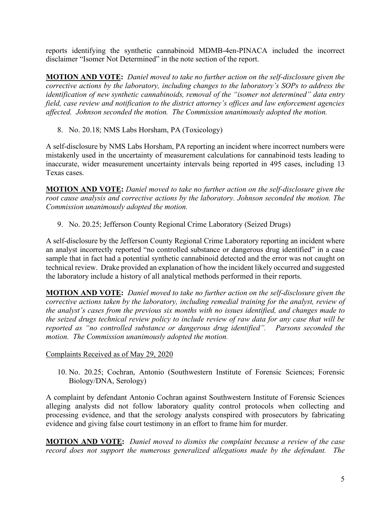reports identifying the synthetic cannabinoid MDMB-4en-PINACA included the incorrect disclaimer "Isomer Not Determined" in the note section of the report.

**MOTION AND VOTE:** *Daniel moved to take no further action on the self-disclosure given the corrective actions by the laboratory, including changes to the laboratory's SOPs to address the identification of new synthetic cannabinoids, removal of the "isomer not determined" data entry field, case review and notification to the district attorney's offices and law enforcement agencies affected. Johnson seconded the motion. The Commission unanimously adopted the motion.*

8. No. 20.18; NMS Labs Horsham, PA (Toxicology)

A self-disclosure by NMS Labs Horsham, PA reporting an incident where incorrect numbers were mistakenly used in the uncertainty of measurement calculations for cannabinoid tests leading to inaccurate, wider measurement uncertainty intervals being reported in 495 cases, including 13 Texas cases.

**MOTION AND VOTE:** *Daniel moved to take no further action on the self-disclosure given the root cause analysis and corrective actions by the laboratory. Johnson seconded the motion. The Commission unanimously adopted the motion.*

9. No. 20.25; Jefferson County Regional Crime Laboratory (Seized Drugs)

A self-disclosure by the Jefferson County Regional Crime Laboratory reporting an incident where an analyst incorrectly reported "no controlled substance or dangerous drug identified" in a case sample that in fact had a potential synthetic cannabinoid detected and the error was not caught on technical review. Drake provided an explanation of how the incident likely occurred and suggested the laboratory include a history of all analytical methods performed in their reports.

**MOTION AND VOTE:** *Daniel moved to take no further action on the self-disclosure given the corrective actions taken by the laboratory, including remedial training for the analyst, review of the analyst's cases from the previous six months with no issues identified, and changes made to the seized drugs technical review policy to include review of raw data for any case that will be reported as "no controlled substance or dangerous drug identified". Parsons seconded the motion. The Commission unanimously adopted the motion.*

### Complaints Received as of May 29, 2020

10. No. 20.25; Cochran, Antonio (Southwestern Institute of Forensic Sciences; Forensic Biology/DNA, Serology)

A complaint by defendant Antonio Cochran against Southwestern Institute of Forensic Sciences alleging analysts did not follow laboratory quality control protocols when collecting and processing evidence, and that the serology analysts conspired with prosecutors by fabricating evidence and giving false court testimony in an effort to frame him for murder.

**MOTION AND VOTE:** *Daniel moved to dismiss the complaint because a review of the case record does not support the numerous generalized allegations made by the defendant. The*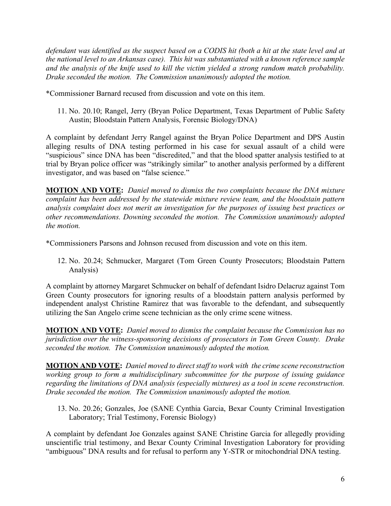*defendant was identified as the suspect based on a CODIS hit (both a hit at the state level and at the national level to an Arkansas case). This hit was substantiated with a known reference sample and the analysis of the knife used to kill the victim yielded a strong random match probability. Drake seconded the motion. The Commission unanimously adopted the motion.*

\*Commissioner Barnard recused from discussion and vote on this item.

11. No. 20.10; Rangel, Jerry (Bryan Police Department, Texas Department of Public Safety Austin; Bloodstain Pattern Analysis, Forensic Biology/DNA)

A complaint by defendant Jerry Rangel against the Bryan Police Department and DPS Austin alleging results of DNA testing performed in his case for sexual assault of a child were "suspicious" since DNA has been "discredited," and that the blood spatter analysis testified to at trial by Bryan police officer was "strikingly similar" to another analysis performed by a different investigator, and was based on "false science."

**MOTION AND VOTE:** *Daniel moved to dismiss the two complaints because the DNA mixture complaint has been addressed by the statewide mixture review team, and the bloodstain pattern analysis complaint does not merit an investigation for the purposes of issuing best practices or other recommendations. Downing seconded the motion. The Commission unanimously adopted the motion.*

\*Commissioners Parsons and Johnson recused from discussion and vote on this item.

12. No. 20.24; Schmucker, Margaret (Tom Green County Prosecutors; Bloodstain Pattern Analysis)

A complaint by attorney Margaret Schmucker on behalf of defendant Isidro Delacruz against Tom Green County prosecutors for ignoring results of a bloodstain pattern analysis performed by independent analyst Christine Ramirez that was favorable to the defendant, and subsequently utilizing the San Angelo crime scene technician as the only crime scene witness.

**MOTION AND VOTE:** *Daniel moved to dismiss the complaint because the Commission has no jurisdiction over the witness-sponsoring decisions of prosecutors in Tom Green County. Drake seconded the motion. The Commission unanimously adopted the motion.* 

**MOTION AND VOTE:** *Daniel moved to direct staff to work with the crime scene reconstruction working group to form a multidisciplinary subcommittee for the purpose of issuing guidance regarding the limitations of DNA analysis (especially mixtures) as a tool in scene reconstruction. Drake seconded the motion. The Commission unanimously adopted the motion.*

13. No. 20.26; Gonzales, Joe (SANE Cynthia Garcia, Bexar County Criminal Investigation Laboratory; Trial Testimony, Forensic Biology)

A complaint by defendant Joe Gonzales against SANE Christine Garcia for allegedly providing unscientific trial testimony, and Bexar County Criminal Investigation Laboratory for providing "ambiguous" DNA results and for refusal to perform any Y-STR or mitochondrial DNA testing.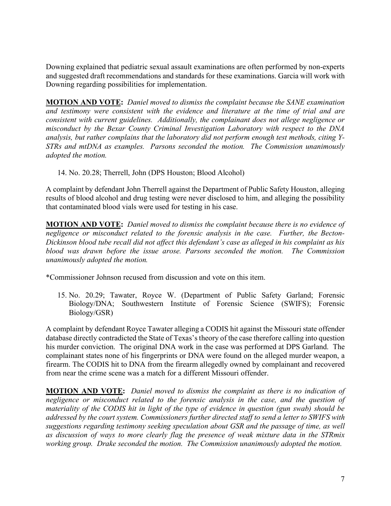Downing explained that pediatric sexual assault examinations are often performed by non-experts and suggested draft recommendations and standards for these examinations. Garcia will work with Downing regarding possibilities for implementation.

**MOTION AND VOTE:** *Daniel moved to dismiss the complaint because the SANE examination and testimony were consistent with the evidence and literature at the time of trial and are consistent with current guidelines. Additionally, the complainant does not allege negligence or misconduct by the Bexar County Criminal Investigation Laboratory with respect to the DNA analysis, but rather complains that the laboratory did not perform enough test methods, citing Y-STRs and mtDNA as examples. Parsons seconded the motion. The Commission unanimously adopted the motion.*

14. No. 20.28; Therrell, John (DPS Houston; Blood Alcohol)

A complaint by defendant John Therrell against the Department of Public Safety Houston, alleging results of blood alcohol and drug testing were never disclosed to him, and alleging the possibility that contaminated blood vials were used for testing in his case.

**MOTION AND VOTE:** *Daniel moved to dismiss the complaint because there is no evidence of negligence or misconduct related to the forensic analysis in the case. Further, the Becton-Dickinson blood tube recall did not affect this defendant's case as alleged in his complaint as his blood was drawn before the issue arose. Parsons seconded the motion. The Commission unanimously adopted the motion.*

\*Commissioner Johnson recused from discussion and vote on this item.

15. No. 20.29; Tawater, Royce W. (Department of Public Safety Garland; Forensic Biology/DNA; Southwestern Institute of Forensic Science (SWIFS); Forensic Biology/GSR)

A complaint by defendant Royce Tawater alleging a CODIS hit against the Missouri state offender database directly contradicted the State of Texas's theory of the case therefore calling into question his murder conviction. The original DNA work in the case was performed at DPS Garland. The complainant states none of his fingerprints or DNA were found on the alleged murder weapon, a firearm. The CODIS hit to DNA from the firearm allegedly owned by complainant and recovered from near the crime scene was a match for a different Missouri offender.

**MOTION AND VOTE:** *Daniel moved to dismiss the complaint as there is no indication of negligence or misconduct related to the forensic analysis in the case, and the question of materiality of the CODIS hit in light of the type of evidence in question (gun swab) should be addressed by the court system. Commissioners further directed staff to send a letter to SWIFS with suggestions regarding testimony seeking speculation about GSR and the passage of time, as well as discussion of ways to more clearly flag the presence of weak mixture data in the STRmix working group. Drake seconded the motion. The Commission unanimously adopted the motion.*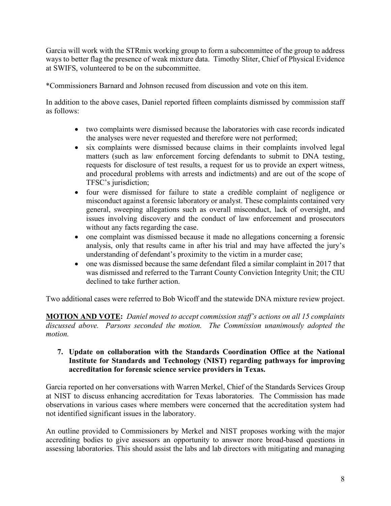Garcia will work with the STRmix working group to form a subcommittee of the group to address ways to better flag the presence of weak mixture data. Timothy Sliter, Chief of Physical Evidence at SWIFS, volunteered to be on the subcommittee.

\*Commissioners Barnard and Johnson recused from discussion and vote on this item.

In addition to the above cases, Daniel reported fifteen complaints dismissed by commission staff as follows:

- two complaints were dismissed because the laboratories with case records indicated the analyses were never requested and therefore were not performed;
- six complaints were dismissed because claims in their complaints involved legal matters (such as law enforcement forcing defendants to submit to DNA testing, requests for disclosure of test results, a request for us to provide an expert witness, and procedural problems with arrests and indictments) and are out of the scope of TFSC's jurisdiction;
- four were dismissed for failure to state a credible complaint of negligence or misconduct against a forensic laboratory or analyst. These complaints contained very general, sweeping allegations such as overall misconduct, lack of oversight, and issues involving discovery and the conduct of law enforcement and prosecutors without any facts regarding the case.
- one complaint was dismissed because it made no allegations concerning a forensic analysis, only that results came in after his trial and may have affected the jury's understanding of defendant's proximity to the victim in a murder case;
- one was dismissed because the same defendant filed a similar complaint in 2017 that was dismissed and referred to the Tarrant County Conviction Integrity Unit; the CIU declined to take further action.

Two additional cases were referred to Bob Wicoff and the statewide DNA mixture review project.

**MOTION AND VOTE:** *Daniel moved to accept commission staff's actions on all 15 complaints discussed above. Parsons seconded the motion. The Commission unanimously adopted the motion.*

### **7. Update on collaboration with the Standards Coordination Office at the National Institute for Standards and Technology (NIST) regarding pathways for improving accreditation for forensic science service providers in Texas.**

Garcia reported on her conversations with Warren Merkel, Chief of the Standards Services Group at NIST to discuss enhancing accreditation for Texas laboratories. The Commission has made observations in various cases where members were concerned that the accreditation system had not identified significant issues in the laboratory.

An outline provided to Commissioners by Merkel and NIST proposes working with the major accrediting bodies to give assessors an opportunity to answer more broad-based questions in assessing laboratories. This should assist the labs and lab directors with mitigating and managing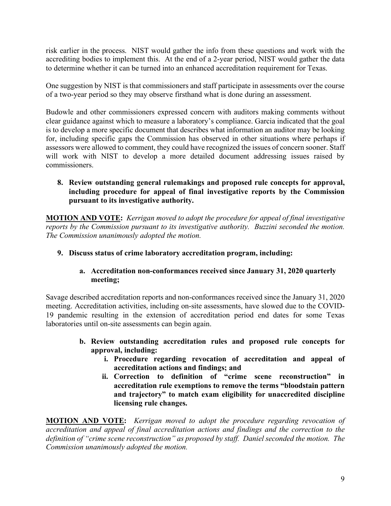risk earlier in the process. NIST would gather the info from these questions and work with the accrediting bodies to implement this. At the end of a 2-year period, NIST would gather the data to determine whether it can be turned into an enhanced accreditation requirement for Texas.

One suggestion by NIST is that commissioners and staff participate in assessments over the course of a two-year period so they may observe firsthand what is done during an assessment.

Budowle and other commissioners expressed concern with auditors making comments without clear guidance against which to measure a laboratory's compliance. Garcia indicated that the goal is to develop a more specific document that describes what information an auditor may be looking for, including specific gaps the Commission has observed in other situations where perhaps if assessors were allowed to comment, they could have recognized the issues of concern sooner. Staff will work with NIST to develop a more detailed document addressing issues raised by commissioners.

### **8. Review outstanding general rulemakings and proposed rule concepts for approval, including procedure for appeal of final investigative reports by the Commission pursuant to its investigative authority.**

**MOTION AND VOTE:** *Kerrigan moved to adopt the procedure for appeal of final investigative reports by the Commission pursuant to its investigative authority. Buzzini seconded the motion. The Commission unanimously adopted the motion.*

### **9. Discuss status of crime laboratory accreditation program, including:**

### **a. Accreditation non-conformances received since January 31, 2020 quarterly meeting;**

Savage described accreditation reports and non-conformances received since the January 31, 2020 meeting. Accreditation activities, including on-site assessments, have slowed due to the COVID-19 pandemic resulting in the extension of accreditation period end dates for some Texas laboratories until on-site assessments can begin again.

- **b. Review outstanding accreditation rules and proposed rule concepts for approval, including:**
	- **i. Procedure regarding revocation of accreditation and appeal of accreditation actions and findings; and**
	- **ii. Correction to definition of "crime scene reconstruction" in accreditation rule exemptions to remove the terms "bloodstain pattern and trajectory" to match exam eligibility for unaccredited discipline licensing rule changes.**

**MOTION AND VOTE:** *Kerrigan moved to adopt the procedure regarding revocation of accreditation and appeal of final accreditation actions and findings and the correction to the definition of "crime scene reconstruction" as proposed by staff. Daniel seconded the motion. The Commission unanimously adopted the motion.*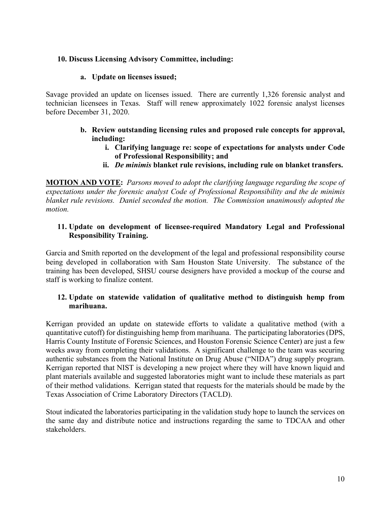### **10. Discuss Licensing Advisory Committee, including:**

#### **a. Update on licenses issued;**

Savage provided an update on licenses issued. There are currently 1,326 forensic analyst and technician licensees in Texas. Staff will renew approximately 1022 forensic analyst licenses before December 31, 2020.

- **b. Review outstanding licensing rules and proposed rule concepts for approval, including:**
	- **i. Clarifying language re: scope of expectations for analysts under Code of Professional Responsibility; and**
	- **ii.** *De minimis* **blanket rule revisions, including rule on blanket transfers.**

**MOTION AND VOTE:** *Parsons moved to adopt the clarifying language regarding the scope of expectations under the forensic analyst Code of Professional Responsibility and the de minimis blanket rule revisions. Daniel seconded the motion. The Commission unanimously adopted the motion.*

#### **11. Update on development of licensee-required Mandatory Legal and Professional Responsibility Training.**

Garcia and Smith reported on the development of the legal and professional responsibility course being developed in collaboration with Sam Houston State University. The substance of the training has been developed, SHSU course designers have provided a mockup of the course and staff is working to finalize content.

#### **12. Update on statewide validation of qualitative method to distinguish hemp from marihuana.**

Kerrigan provided an update on statewide efforts to validate a qualitative method (with a quantitative cutoff) for distinguishing hemp from marihuana. The participating laboratories (DPS, Harris County Institute of Forensic Sciences, and Houston Forensic Science Center) are just a few weeks away from completing their validations. A significant challenge to the team was securing authentic substances from the National Institute on Drug Abuse ("NIDA") drug supply program. Kerrigan reported that NIST is developing a new project where they will have known liquid and plant materials available and suggested laboratories might want to include these materials as part of their method validations. Kerrigan stated that requests for the materials should be made by the Texas Association of Crime Laboratory Directors (TACLD).

Stout indicated the laboratories participating in the validation study hope to launch the services on the same day and distribute notice and instructions regarding the same to TDCAA and other stakeholders.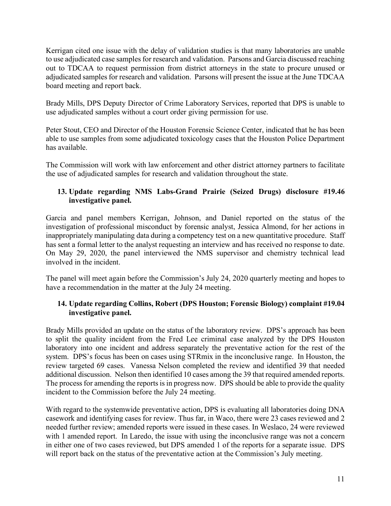Kerrigan cited one issue with the delay of validation studies is that many laboratories are unable to use adjudicated case samples for research and validation. Parsons and Garcia discussed reaching out to TDCAA to request permission from district attorneys in the state to procure unused or adjudicated samples for research and validation. Parsons will present the issue at the June TDCAA board meeting and report back.

Brady Mills, DPS Deputy Director of Crime Laboratory Services, reported that DPS is unable to use adjudicated samples without a court order giving permission for use.

Peter Stout, CEO and Director of the Houston Forensic Science Center, indicated that he has been able to use samples from some adjudicated toxicology cases that the Houston Police Department has available.

The Commission will work with law enforcement and other district attorney partners to facilitate the use of adjudicated samples for research and validation throughout the state.

## **13. Update regarding NMS Labs-Grand Prairie (Seized Drugs) disclosure #19.46 investigative panel.**

Garcia and panel members Kerrigan, Johnson, and Daniel reported on the status of the investigation of professional misconduct by forensic analyst, Jessica Almond, for her actions in inappropriately manipulating data during a competency test on a new quantitative procedure. Staff has sent a formal letter to the analyst requesting an interview and has received no response to date. On May 29, 2020, the panel interviewed the NMS supervisor and chemistry technical lead involved in the incident.

The panel will meet again before the Commission's July 24, 2020 quarterly meeting and hopes to have a recommendation in the matter at the July 24 meeting.

## **14. Update regarding Collins, Robert (DPS Houston; Forensic Biology) complaint #19.04 investigative panel.**

Brady Mills provided an update on the status of the laboratory review. DPS's approach has been to split the quality incident from the Fred Lee criminal case analyzed by the DPS Houston laboratory into one incident and address separately the preventative action for the rest of the system. DPS's focus has been on cases using STRmix in the inconclusive range. In Houston, the review targeted 69 cases. Vanessa Nelson completed the review and identified 39 that needed additional discussion. Nelson then identified 10 cases among the 39 that required amended reports. The process for amending the reports is in progress now. DPS should be able to provide the quality incident to the Commission before the July 24 meeting.

With regard to the systemwide preventative action, DPS is evaluating all laboratories doing DNA casework and identifying cases for review. Thus far, in Waco, there were 23 cases reviewed and 2 needed further review; amended reports were issued in these cases. In Weslaco, 24 were reviewed with 1 amended report. In Laredo, the issue with using the inconclusive range was not a concern in either one of two cases reviewed, but DPS amended 1 of the reports for a separate issue. DPS will report back on the status of the preventative action at the Commission's July meeting.